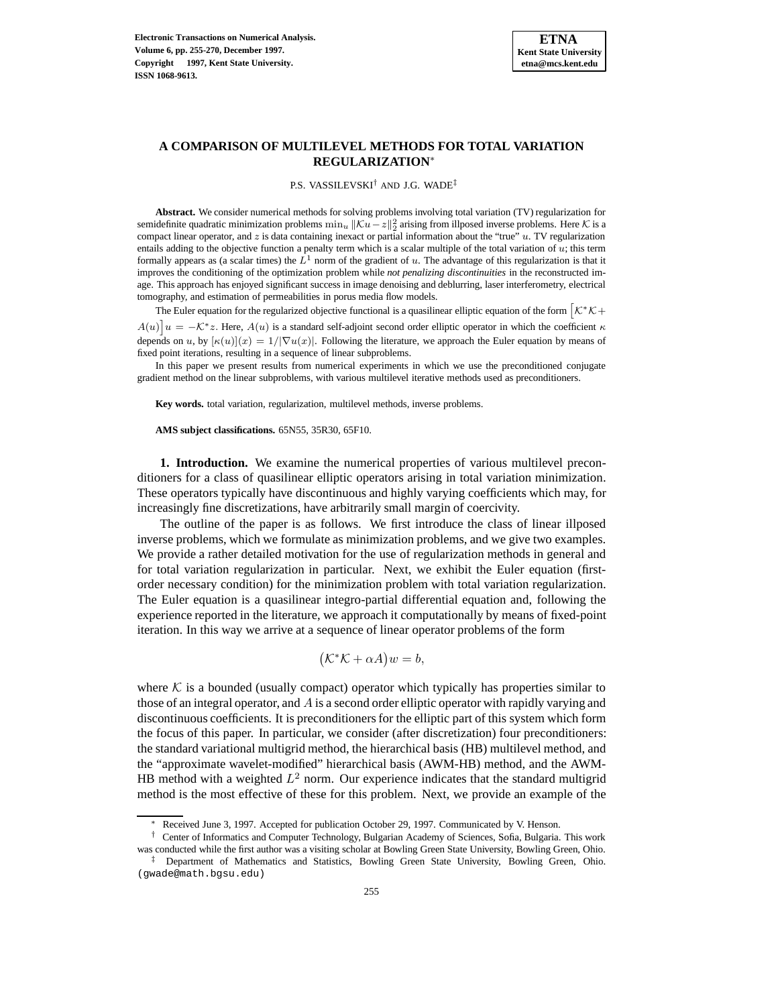# **A COMPARISON OF MULTILEVEL METHODS FOR TOTAL VARIATION REGULARIZATION**<sup>∗</sup>

P.S. VASSILEVSKI† AND J.G. WADE‡

**Abstract.** We consider numerical methods for solving problems involving total variation (TV) regularization for semidefinite quadratic minimization problems  $\min_u ||\mathcal{K}u-z||_2^2$  arising from illposed inverse problems. Here K is a compact linear operator, and  $z$  is data containing inexact or partial information about the "true"  $u$ . TV regularization entails adding to the objective function a penalty term which is a scalar multiple of the total variation of u; this term formally appears as (a scalar times) the  $L^1$  norm of the gradient of u. The advantage of this regularization is that it improves the conditioning of the optimization problem while *not penalizing discontinuities* in the reconstructed image. This approach has enjoyed significant success in image denoising and deblurring, laser interferometry, electrical tomography, and estimation of permeabilities in porus media flow models.

The Euler equation for the regularized objective functional is a quasilinear elliptic equation of the form  $\left[\mathcal{K}^*\mathcal{K}+\right]$  $A(u)$  $\big]u = -\mathcal{K}^*z$ . Here,  $A(u)$  is a standard self-adjoint second order elliptic operator in which the coefficient  $\kappa$ depends on u, by  $[\kappa(u)](x)=1/|\nabla u(x)|$ . Following the literature, we approach the Euler equation by means of fixed point iterations, resulting in a sequence of linear subproblems.

In this paper we present results from numerical experiments in which we use the preconditioned conjugate gradient method on the linear subproblems, with various multilevel iterative methods used as preconditioners.

**Key words.** total variation, regularization, multilevel methods, inverse problems.

**AMS subject classifications.** 65N55, 35R30, 65F10.

**1. Introduction.** We examine the numerical properties of various multilevel preconditioners for a class of quasilinear elliptic operators arising in total variation minimization. These operators typically have discontinuous and highly varying coefficients which may, for increasingly fine discretizations, have arbitrarily small margin of coercivity.

The outline of the paper is as follows. We first introduce the class of linear illposed inverse problems, which we formulate as minimization problems, and we give two examples. We provide a rather detailed motivation for the use of regularization methods in general and for total variation regularization in particular. Next, we exhibit the Euler equation (firstorder necessary condition) for the minimization problem with total variation regularization. The Euler equation is a quasilinear integro-partial differential equation and, following the experience reported in the literature, we approach it computationally by means of fixed-point iteration. In this way we arrive at a sequence of linear operator problems of the form

$$
(\mathcal{K}^*\mathcal{K} + \alpha A)w = b,
$$

where  $K$  is a bounded (usually compact) operator which typically has properties similar to those of an integral operator, and  $\vec{A}$  is a second order elliptic operator with rapidly varying and discontinuous coefficients. It is preconditioners for the elliptic part of this system which form the focus of this paper. In particular, we consider (after discretization) four preconditioners: the standard variational multigrid method, the hierarchical basis (HB) multilevel method, and the "approximate wavelet-modified" hierarchical basis (AWM-HB) method, and the AWM-HB method with a weighted  $L^2$  norm. Our experience indicates that the standard multigrid method is the most effective of these for this problem. Next, we provide an example of the

Received June 3, 1997. Accepted for publication October 29, 1997. Communicated by V. Henson.

<sup>†</sup> Center of Informatics and Computer Technology, Bulgarian Academy of Sciences, Sofia, Bulgaria. This work was conducted while the first author was a visiting scholar at Bowling Green State University, Bowling Green, Ohio.

<sup>‡</sup> Department of Mathematics and Statistics, Bowling Green State University, Bowling Green, Ohio. (gwade@math.bgsu.edu)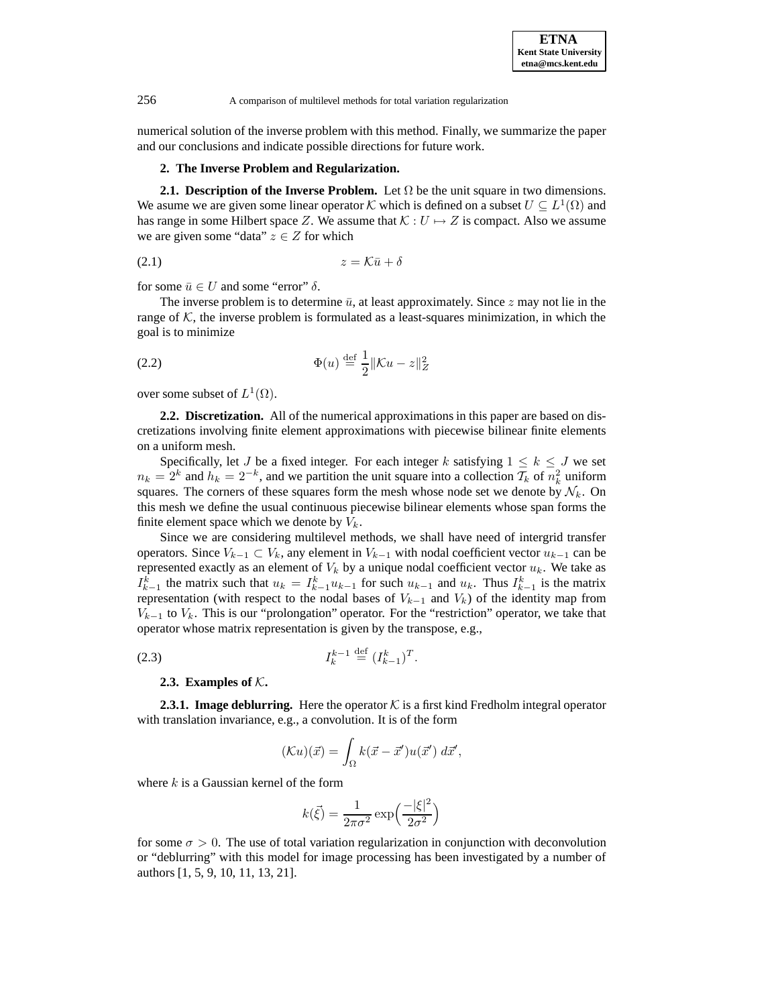numerical solution of the inverse problem with this method. Finally, we summarize the paper and our conclusions and indicate possible directions for future work.

#### **2. The Inverse Problem and Regularization.**

**2.1. Description of the Inverse Problem.** Let  $\Omega$  be the unit square in two dimensions. We asume we are given some linear operator K which is defined on a subset  $U \subseteq L^1(\Omega)$  and has range in some Hilbert space Z. We assume that  $K : U \mapsto Z$  is compact. Also we assume we are given some "data"  $z \in Z$  for which

$$
(2.1) \t\t\t z = \mathcal{K}\bar{u} + \delta
$$

for some  $\bar{u} \in U$  and some "error"  $\delta$ .

The inverse problem is to determine  $\bar{u}$ , at least approximately. Since z may not lie in the range of  $K$ , the inverse problem is formulated as a least-squares minimization, in which the goal is to minimize

(2.2) 
$$
\Phi(u) \stackrel{\text{def}}{=} \frac{1}{2} ||\mathcal{K}u - z||_Z^2
$$

over some subset of  $L^1(\Omega)$ .

**2.2. Discretization.** All of the numerical approximations in this paper are based on discretizations involving finite element approximations with piecewise bilinear finite elements on a uniform mesh.

Specifically, let J be a fixed integer. For each integer k satisfying  $1 \leq k \leq J$  we set  $n_k = 2^k$  and  $h_k = 2^{-k}$ , and we partition the unit square into a collection  $\mathcal{T}_k$  of  $n_k^2$  uniform squares. The corners of these squares form the mesh whose node set we denote by  $\mathcal{N}_k$ . On this mesh we define the usual continuous piecewise bilinear elements whose span forms the finite element space which we denote by  $V_k$ .

Since we are considering multilevel methods, we shall have need of intergrid transfer operators. Since  $V_{k-1} \subset V_k$ , any element in  $V_{k-1}$  with nodal coefficient vector  $u_{k-1}$  can be represented exactly as an element of  $V_k$  by a unique nodal coefficient vector  $u_k$ . We take as  $I_{k-1}^k$  the matrix such that  $u_k = I_{k-1}^k u_{k-1}$  for such  $u_{k-1}$  and  $u_k$ . Thus  $I_{k-1}^k$  is the matrix representation (with respect to the nodal bases of  $V_{k-1}$  and  $V_k$ ) of the identity map from  $V_{k-1}$  to  $V_k$ . This is our "prolongation" operator. For the "restriction" operator, we take that operator whose matrix representation is given by the transpose, e.g.,

(2.3) 
$$
I_{k}^{k-1} \stackrel{\text{def}}{=} (I_{k-1}^{k})^{T}.
$$

## **2.3.** Examples of  $K$ .

**2.3.1. Image deblurring.** Here the operator  $K$  is a first kind Fredholm integral operator with translation invariance, e.g., a convolution. It is of the form

$$
(\mathcal{K}u)(\vec{x}) = \int_{\Omega} k(\vec{x} - \vec{x}')u(\vec{x}') d\vec{x}',
$$

where  $k$  is a Gaussian kernel of the form

$$
k(\vec{\xi}) = \frac{1}{2\pi\sigma^2} \exp\left(\frac{-|\xi|^2}{2\sigma^2}\right)
$$

for some  $\sigma > 0$ . The use of total variation regularization in conjunction with deconvolution or "deblurring" with this model for image processing has been investigated by a number of authors [1, 5, 9, 10, 11, 13, 21].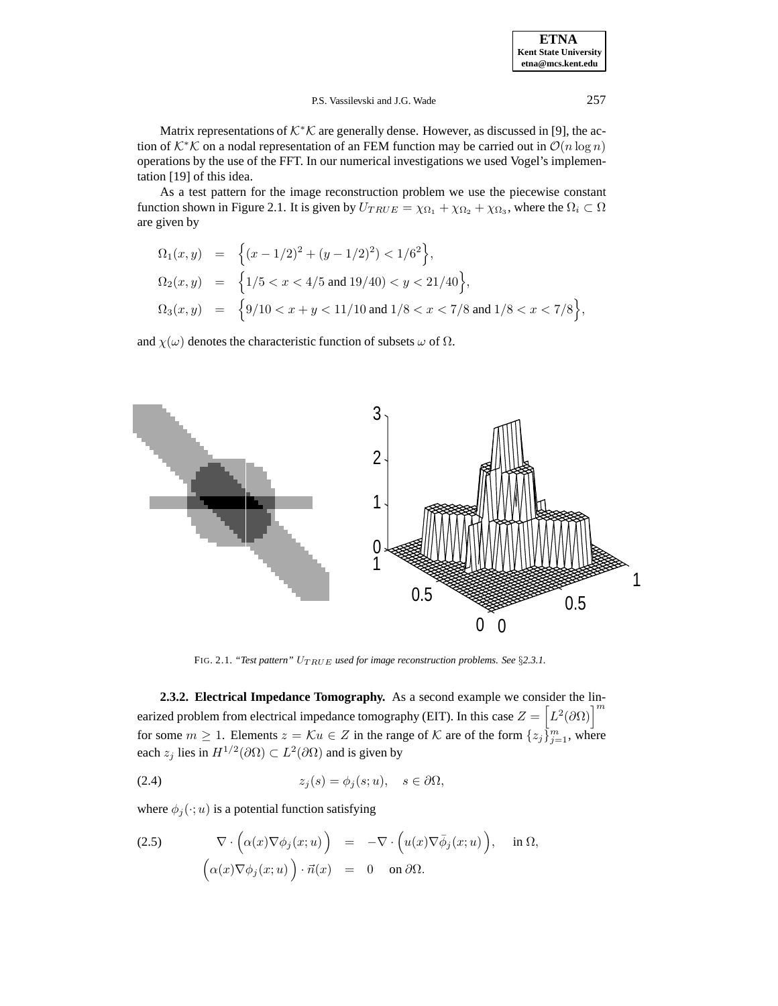Matrix representations of  $K^*\mathcal{K}$  are generally dense. However, as discussed in [9], the action of K<sup>∗</sup>K on a nodal representation of an FEM function may be carried out in  $\mathcal{O}(n \log n)$ operations by the use of the FFT. In our numerical investigations we used Vogel's implementation [19] of this idea.

As a test pattern for the image reconstruction problem we use the piecewise constant function shown in Figure 2.1. It is given by  $U_{TRUE} = \chi_{\Omega_1} + \chi_{\Omega_2} + \chi_{\Omega_3}$ , where the  $\Omega_i \subset \Omega$ are given by

$$
\begin{array}{lcl} \Omega_1(x,y) & = & \Big\{ (x-1/2)^2 + (y-1/2)^2) < 1/6^2 \Big\}, \\[2mm] \Omega_2(x,y) & = & \Big\{ 1/5 < x < 4/5 \text{ and } 19/40) < y < 21/40 \Big\}, \\[2mm] \Omega_3(x,y) & = & \Big\{ 9/10 < x+y < 11/10 \text{ and } 1/8 < x < 7/8 \text{ and } 1/8 < x < 7/8 \Big\}, \end{array}
$$

and  $\chi(\omega)$  denotes the characteristic function of subsets  $\omega$  of  $\Omega$ .



FIG. 2.1. *"Test pattern"*  $U_{TRUE}$  *used for image reconstruction problems. See* §2.3.1.

**2.3.2. Electrical Impedance Tomography.** As a second example we consider the linearized problem from electrical impedance tomography (EIT). In this case  $Z = \left[L^2(\partial\Omega)\right]^m$ for some  $m \geq 1$ . Elements  $z = \mathcal{K}u \in Z$  in the range of  $\mathcal K$  are of the form  $\{z_j\}_{j=1}^m$ , where each  $z_j$  lies in  $H^{1/2}(\partial\Omega) \subset L^2(\partial\Omega)$  and is given by

(2.4) 
$$
z_j(s) = \phi_j(s; u), \quad s \in \partial\Omega,
$$

where  $\phi_j(\cdot; u)$  is a potential function satisfying

(2.5) 
$$
\nabla \cdot (\alpha(x) \nabla \phi_j(x; u)) = -\nabla \cdot (u(x) \nabla \bar{\phi}_j(x; u)), \text{ in } \Omega, (\alpha(x) \nabla \phi_j(x; u)) \cdot \vec{n}(x) = 0 \text{ on } \partial \Omega.
$$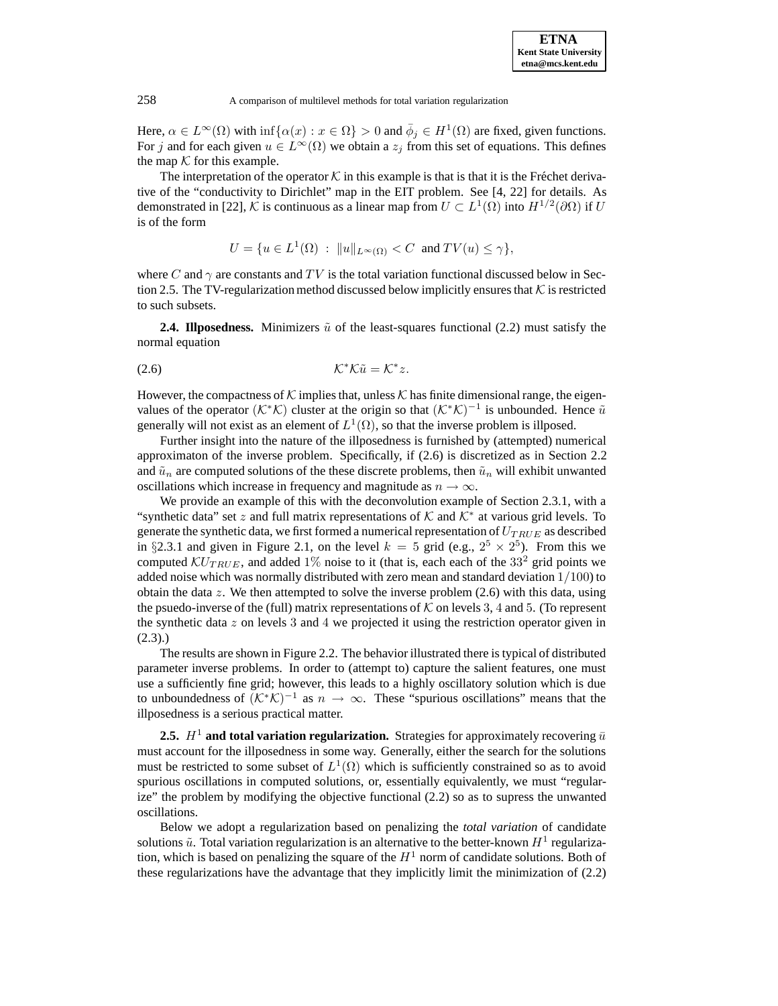Here,  $\alpha \in L^{\infty}(\Omega)$  with  $\inf{\alpha(x) : x \in \Omega} > 0$  and  $\overline{\phi}_j \in H^1(\Omega)$  are fixed, given functions. For j and for each given  $u \in L^{\infty}(\Omega)$  we obtain a  $z_j$  from this set of equations. This defines the map  $K$  for this example.

The interpretation of the operator  $\mathcal K$  in this example is that is that it is the Fréchet derivative of the "conductivity to Dirichlet" map in the EIT problem. See [4, 22] for details. As demonstrated in [22], K is continuous as a linear map from  $U \subset L^1(\Omega)$  into  $H^{1/2}(\partial \Omega)$  if U is of the form

 $U = \{u \in L^1(\Omega) : ||u||_{L^\infty(\Omega)} \leq C \text{ and } TV(u) \leq \gamma\},\$ 

where C and  $\gamma$  are constants and TV is the total variation functional discussed below in Section 2.5. The TV-regularization method discussed below implicitly ensures that  $K$  is restricted to such subsets.

**2.4. Illposedness.** Minimizers  $\tilde{u}$  of the least-squares functional (2.2) must satisfy the normal equation

$$
(\text{2.6}) \quad \mathcal{K}^* \mathcal{K} \tilde{u} = \mathcal{K}^* z.
$$

However, the compactness of K implies that, unless K has finite dimensional range, the eigenvalues of the operator ( $\mathcal{K}^*\mathcal{K}$ ) cluster at the origin so that  $(\mathcal{K}^*\mathcal{K})^{-1}$  is unbounded. Hence  $\tilde{u}$ generally will not exist as an element of  $L^1(\Omega)$ , so that the inverse problem is illposed.

Further insight into the nature of the illposedness is furnished by (attempted) numerical approximaton of the inverse problem. Specifically, if (2.6) is discretized as in Section 2.2 and  $\tilde{u}_n$  are computed solutions of the these discrete problems, then  $\tilde{u}_n$  will exhibit unwanted oscillations which increase in frequency and magnitude as  $n \to \infty$ .

We provide an example of this with the deconvolution example of Section 2.3.1, with a "synthetic data" set z and full matrix representations of  $K$  and  $K^*$  at various grid levels. To generate the synthetic data, we first formed a numerical representation of  $U_{TRUE}$  as described in §2.3.1 and given in Figure 2.1, on the level  $k = 5$  grid (e.g.,  $2^5 \times 2^5$ ). From this we computed  $\mathcal{K}U_{TRUE}$ , and added 1% noise to it (that is, each each of the 33<sup>2</sup> grid points we added noise which was normally distributed with zero mean and standard deviation  $1/100$ ) to obtain the data  $z$ . We then attempted to solve the inverse problem  $(2.6)$  with this data, using the psuedo-inverse of the (full) matrix representations of  $K$  on levels 3, 4 and 5. (To represent the synthetic data  $z$  on levels 3 and 4 we projected it using the restriction operator given in  $(2.3).$ 

The results are shown in Figure 2.2. The behavior illustrated there is typical of distributed parameter inverse problems. In order to (attempt to) capture the salient features, one must use a sufficiently fine grid; however, this leads to a highly oscillatory solution which is due to unboundedness of  $(K^*\mathcal{K})^{-1}$  as  $n \to \infty$ . These "spurious oscillations" means that the illposedness is a serious practical matter.

**2.5.**  $H^1$  and total variation regularization. Strategies for approximately recovering  $\bar{u}$ must account for the illposedness in some way. Generally, either the search for the solutions must be restricted to some subset of  $L^1(\Omega)$  which is sufficiently constrained so as to avoid spurious oscillations in computed solutions, or, essentially equivalently, we must "regularize" the problem by modifying the objective functional (2.2) so as to supress the unwanted oscillations.

Below we adopt a regularization based on penalizing the *total variation* of candidate solutions  $\tilde{u}$ . Total variation regularization is an alternative to the better-known  $H^1$  regularization, which is based on penalizing the square of the  $H<sup>1</sup>$  norm of candidate solutions. Both of these regularizations have the advantage that they implicitly limit the minimization of (2.2)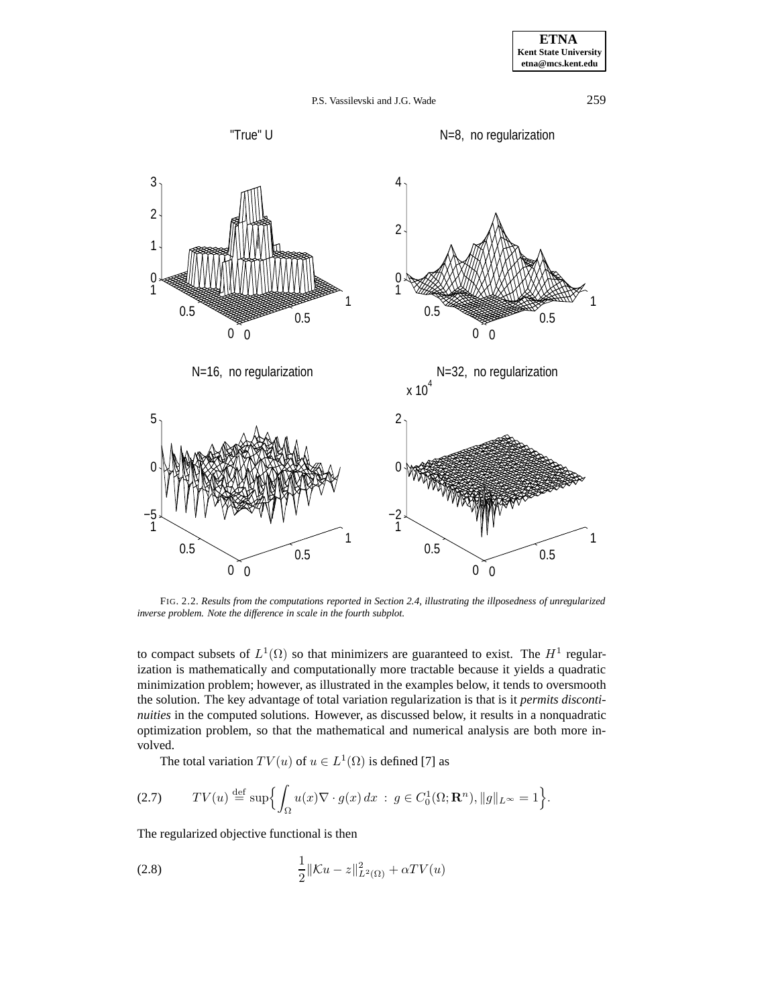





FIG. 2.2. *Results from the computations reported in Section 2.4, illustrating the illposedness of unregularized inverse problem. Note the difference in scale in the fourth subplot.*

to compact subsets of  $L^1(\Omega)$  so that minimizers are guaranteed to exist. The  $H^1$  regularization is mathematically and computationally more tractable because it yields a quadratic minimization problem; however, as illustrated in the examples below, it tends to oversmooth the solution. The key advantage of total variation regularization is that is it *permits discontinuities* in the computed solutions. However, as discussed below, it results in a nonquadratic optimization problem, so that the mathematical and numerical analysis are both more involved.

The total variation  $TV(u)$  of  $u \in L^1(\Omega)$  is defined [7] as

$$
(2.7) \tTV(u) \stackrel{\text{def}}{=} \sup \Bigl\{ \int_{\Omega} u(x) \nabla \cdot g(x) \, dx \; : \; g \in C_0^1(\Omega; \mathbf{R}^n), \|g\|_{L^\infty} = 1 \Bigr\}.
$$

The regularized objective functional is then

(2.8) 
$$
\frac{1}{2} \|\mathcal{K}u - z\|_{L^2(\Omega)}^2 + \alpha TV(u)
$$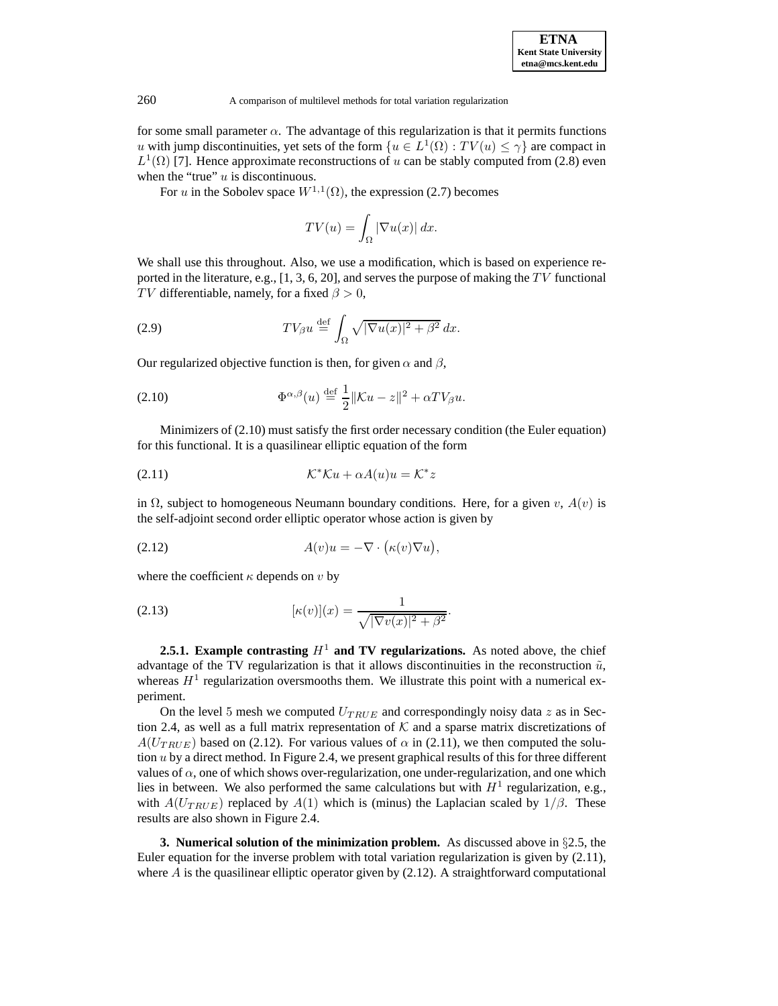

for some small parameter  $\alpha$ . The advantage of this regularization is that it permits functions u with jump discontinuities, yet sets of the form  $\{u \in L^1(\Omega) : TV(u) \leq \gamma\}$  are compact in  $L^1(\Omega)$  [7]. Hence approximate reconstructions of u can be stably computed from (2.8) even when the "true"  $u$  is discontinuous.

For u in the Sobolev space  $W^{1,1}(\Omega)$ , the expression (2.7) becomes

$$
TV(u) = \int_{\Omega} |\nabla u(x)| dx.
$$

We shall use this throughout. Also, we use a modification, which is based on experience reported in the literature, e.g.,  $[1, 3, 6, 20]$ , and serves the purpose of making the TV functional TV differentiable, namely, for a fixed  $\beta > 0$ ,

(2.9) 
$$
TV_{\beta}u \stackrel{\text{def}}{=} \int_{\Omega} \sqrt{|\nabla u(x)|^2 + \beta^2} dx.
$$

Our regularized objective function is then, for given  $\alpha$  and  $\beta$ ,

(2.10) 
$$
\Phi^{\alpha,\beta}(u) \stackrel{\text{def}}{=} \frac{1}{2} ||\mathcal{K}u - z||^2 + \alpha T V_{\beta} u.
$$

Minimizers of (2.10) must satisfy the first order necessary condition (the Euler equation) for this functional. It is a quasilinear elliptic equation of the form

$$
(2.11)\t\t\t\t\t\mathcal{K}^*\mathcal{K}u + \alpha A(u)u = \mathcal{K}^*z
$$

in  $\Omega$ , subject to homogeneous Neumann boundary conditions. Here, for a given v,  $A(v)$  is the self-adjoint second order elliptic operator whose action is given by

(2.12) 
$$
A(v)u = -\nabla \cdot (\kappa(v)\nabla u),
$$

where the coefficient  $\kappa$  depends on v by

(2.13) 
$$
[\kappa(v)](x) = \frac{1}{\sqrt{|\nabla v(x)|^2 + \beta^2}}.
$$

**2.5.1. Example contrasting**  $H^1$  **and TV regularizations.** As noted above, the chief advantage of the TV regularization is that it allows discontinuities in the reconstruction  $\tilde{u}$ , whereas  $H<sup>1</sup>$  regularization oversmooths them. We illustrate this point with a numerical experiment.

On the level 5 mesh we computed  $U_{TRUE}$  and correspondingly noisy data  $z$  as in Section 2.4, as well as a full matrix representation of  $K$  and a sparse matrix discretizations of  $A(U_{TRUE})$  based on (2.12). For various values of  $\alpha$  in (2.11), we then computed the solution  $u$  by a direct method. In Figure 2.4, we present graphical results of this for three different values of  $\alpha$ , one of which shows over-regularization, one under-regularization, and one which lies in between. We also performed the same calculations but with  $H<sup>1</sup>$  regularization, e.g., with  $A(U_{TRUE})$  replaced by  $A(1)$  which is (minus) the Laplacian scaled by  $1/\beta$ . These results are also shown in Figure 2.4.

**3. Numerical solution of the minimization problem.** As discussed above in §2.5, the Euler equation for the inverse problem with total variation regularization is given by (2.11), where  $A$  is the quasilinear elliptic operator given by  $(2.12)$ . A straightforward computational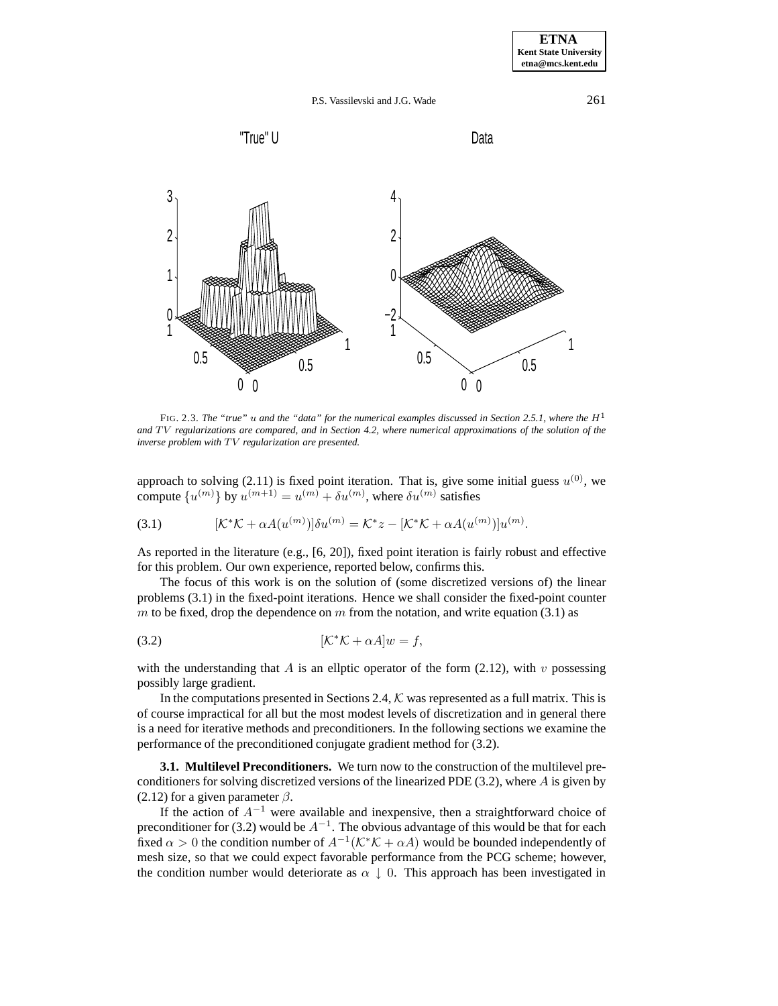





FIG. 2.3. The "true" u and the "data" for the numerical examples discussed in Section 2.5.1, where the  $H<sup>1</sup>$ and TV regularizations are compared, and in Section 4.2, where numerical approximations of the solution of the *inverse problem with* TV *regularization are presented.* 

approach to solving (2.11) is fixed point iteration. That is, give some initial guess  $u^{(0)}$ , we compute  $\{u^{(m)}\}$  by  $u^{(m+1)} = u^{(m)} + \delta u^{(m)}$ , where  $\delta u^{(m)}$  satisfies

(3.1) 
$$
[\mathcal{K}^*\mathcal{K} + \alpha A(u^{(m)})]\delta u^{(m)} = \mathcal{K}^*z - [\mathcal{K}^*\mathcal{K} + \alpha A(u^{(m)})]u^{(m)}.
$$

As reported in the literature (e.g., [6, 20]), fixed point iteration is fairly robust and effective for this problem. Our own experience, reported below, confirms this.

The focus of this work is on the solution of (some discretized versions of) the linear problems (3.1) in the fixed-point iterations. Hence we shall consider the fixed-point counter m to be fixed, drop the dependence on m from the notation, and write equation (3.1) as

$$
[\mathcal{K}^*\mathcal{K} + \alpha A]w = f,
$$

with the understanding that A is an ellptic operator of the form  $(2.12)$ , with v possessing possibly large gradient.

In the computations presented in Sections 2.4, K was represented as a full matrix. This is of course impractical for all but the most modest levels of discretization and in general there is a need for iterative methods and preconditioners. In the following sections we examine the performance of the preconditioned conjugate gradient method for (3.2).

**3.1. Multilevel Preconditioners.** We turn now to the construction of the multilevel preconditioners for solving discretized versions of the linearized PDE (3.2), where A is given by (2.12) for a given parameter  $\beta$ .

If the action of  $A^{-1}$  were available and inexpensive, then a straightforward choice of preconditioner for (3.2) would be  $A^{-1}$ . The obvious advantage of this would be that for each fixed  $\alpha > 0$  the condition number of  $A^{-1}(\mathcal{K}^*\mathcal{K} + \alpha A)$  would be bounded independently of mesh size, so that we could expect favorable performance from the PCG scheme; however, the condition number would deteriorate as  $\alpha \downarrow 0$ . This approach has been investigated in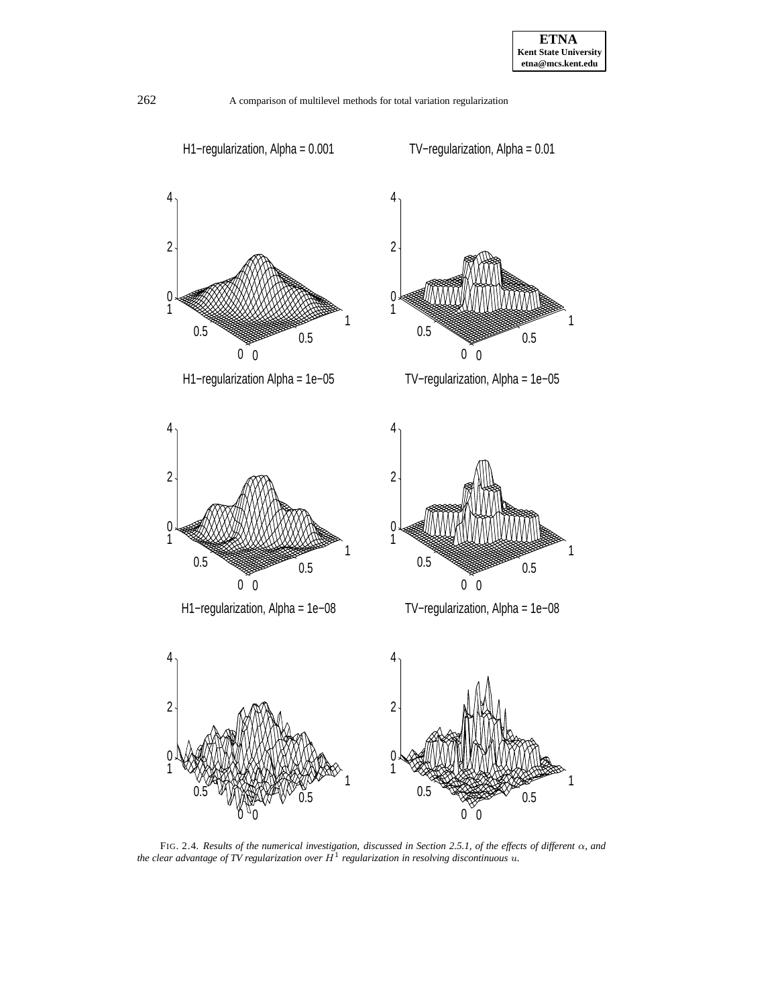

FIG. 2.4. *Results of the numerical investigation, discussed in Section 2.5.1, of the effects of different* α*, and the clear advantage of TV regularization over*  $H^1$  *regularization in resolving discontinuous*  $u$ .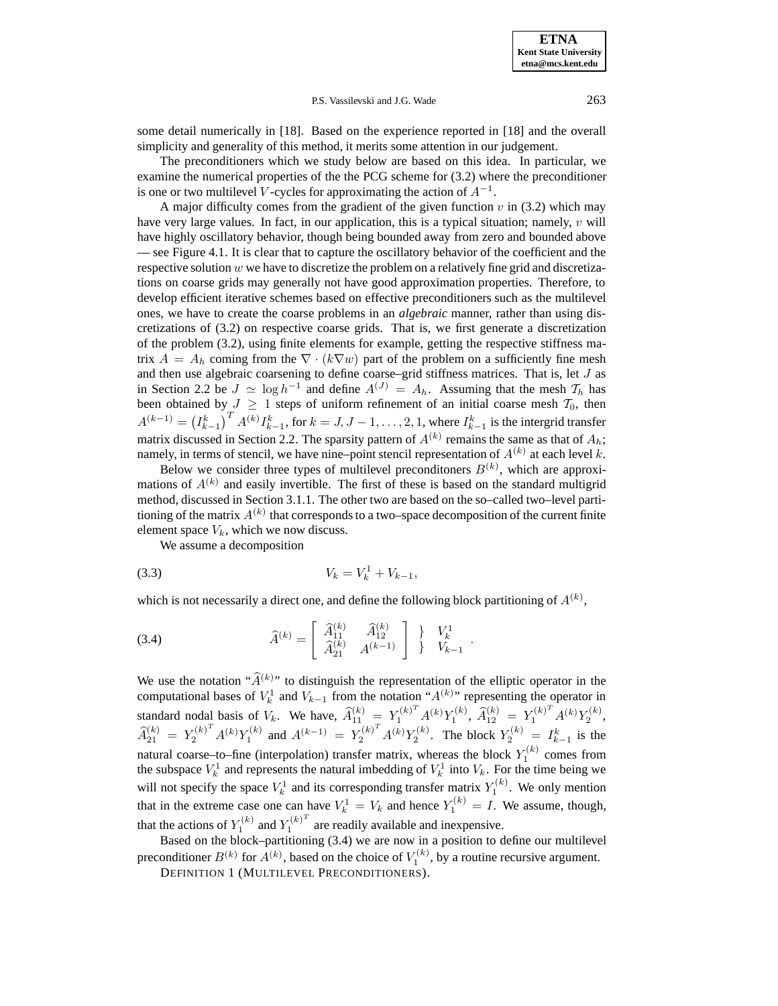some detail numerically in [18]. Based on the experience reported in [18] and the overall simplicity and generality of this method, it merits some attention in our judgement.

The preconditioners which we study below are based on this idea. In particular, we examine the numerical properties of the the PCG scheme for (3.2) where the preconditioner is one or two multilevel V-cycles for approximating the action of  $A^{-1}$ .

A major difficulty comes from the gradient of the given function  $v$  in (3.2) which may have very large values. In fact, in our application, this is a typical situation; namely, v will have highly oscillatory behavior, though being bounded away from zero and bounded above — see Figure 4.1. It is clear that to capture the oscillatory behavior of the coefficient and the respective solution  $w$  we have to discretize the problem on a relatively fine grid and discretizations on coarse grids may generally not have good approximation properties. Therefore, to develop efficient iterative schemes based on effective preconditioners such as the multilevel ones, we have to create the coarse problems in an *algebraic* manner, rather than using discretizations of (3.2) on respective coarse grids. That is, we first generate a discretization of the problem (3.2), using finite elements for example, getting the respective stiffness matrix  $A = A_h$  coming from the  $\nabla \cdot (k \nabla w)$  part of the problem on a sufficiently fine mesh and then use algebraic coarsening to define coarse–grid stiffness matrices. That is, let  $J$  as in Section 2.2 be  $J \simeq \log h^{-1}$  and define  $A^{(J)} = A_h$ . Assuming that the mesh  $\mathcal{T}_h$  has been obtained by  $J \geq 1$  steps of uniform refinement of an initial coarse mesh  $\mathcal{T}_0$ , then  $A^{(k-1)} = (I_{k-1}^k)^T A^{(k)} I_{k-1}^k$ , for  $k = J, J - 1, \ldots, 2, 1$ , where  $I_{k-1}^k$  is the intergrid transfer matrix discussed in Section 2.2. The sparsity pattern of  $A^{(k)}$  remains the same as that of  $A_h$ ; namely, in terms of stencil, we have nine–point stencil representation of  $A^{(k)}$  at each level k.

Below we consider three types of multilevel preconditoners  $B^{(k)}$ , which are approximations of  $A^{(k)}$  and easily invertible. The first of these is based on the standard multigrid method, discussed in Section 3.1.1. The other two are based on the so–called two–level partitioning of the matrix  $A^{(k)}$  that corresponds to a two–space decomposition of the current finite element space  $V_k$ , which we now discuss.

We assume a decomposition

$$
(3.3) \t V_k = V_k^1 + V_{k-1},
$$

which is not necessarily a direct one, and define the following block partitioning of  $A^{(k)}$ ,

(3.4) 
$$
\widehat{A}^{(k)} = \begin{bmatrix} \widehat{A}_{11}^{(k)} & \widehat{A}_{12}^{(k)} \\ \widehat{A}_{21}^{(k)} & A^{(k-1)} \end{bmatrix} \begin{bmatrix} 1 \\ 0 \end{bmatrix} \begin{bmatrix} V_k^1 \\ V_{k-1} \end{bmatrix}.
$$

We use the notation " $\widehat{A}^{(k)}$ " to distinguish the representation of the elliptic operator in the computational bases of  $V_k^1$  and  $V_{k-1}$  from the notation " $A^{(k)}$ " representing the operator in standard nodal basis of  $V_k$ . We have,  $\widehat{A}_{11}^{(k)} = Y_1^{(k)T} A^{(k)} Y_1^{(k)}$ ,  $\widehat{A}_{12}^{(k)} = Y_1^{(k)T} A^{(k)} Y_2^{(k)}$ ,  $\hat{A}_{21}^{(k)} = Y_2^{(k)T} A^{(k)} Y_1^{(k)}$  and  $A^{(k-1)} = Y_2^{(k)T} A^{(k)} Y_2^{(k)}$ . The block  $Y_2^{(k)} = I_{k-1}^k$  is the natural coarse–to–fine (interpolation) transfer matrix, whereas the block  $Y_1^{(k)}$  comes from the subspace  $V_k^1$  and represents the natural imbedding of  $V_k^1$  into  $V_k$ . For the time being we will not specify the space  $V_k^1$  and its corresponding transfer matrix  $Y_1^{(k)}$ . We only mention that in the extreme case one can have  $V_k^1 = V_k$  and hence  $Y_1^{(k)} = I$ . We assume, though, that the actions of  $Y_1^{(k)}$  and  $Y_1^{(k)^T}$  are readily available and inexpensive.

Based on the block–partitioning (3.4) we are now in a position to define our multilevel preconditioner  $B^{(k)}$  for  $A^{(k)}$ , based on the choice of  $V_1^{(k)}$ , by a routine recursive argument. DEFINITION 1 (MULTILEVEL PRECONDITIONERS).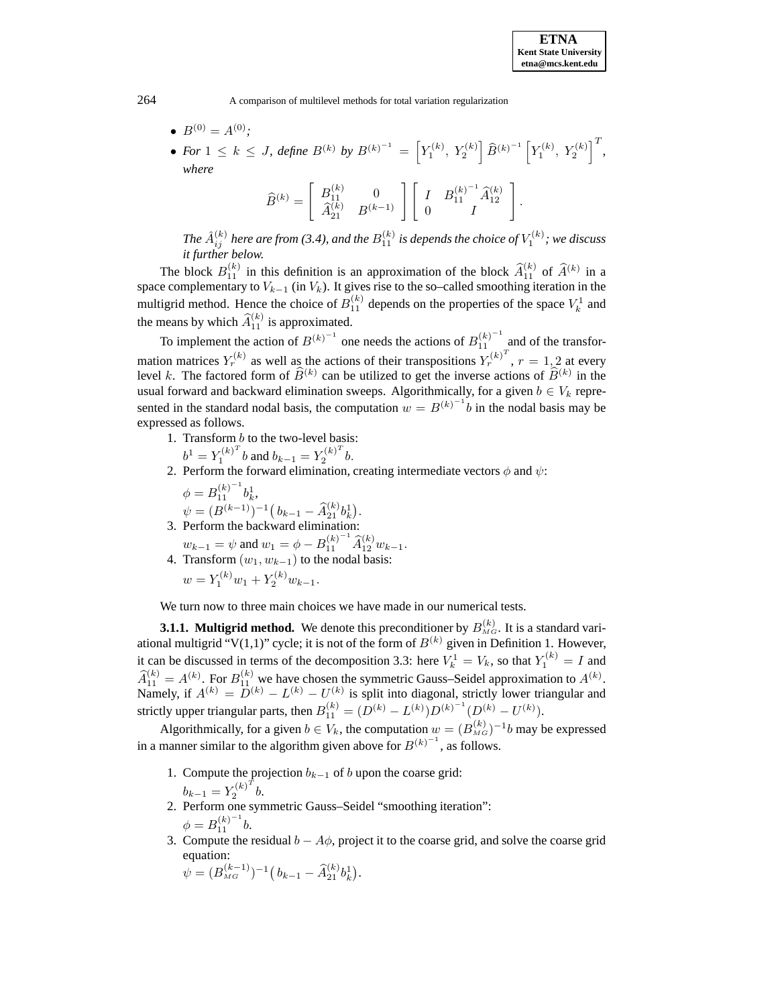- $B^{(0)} = A^{(0)}$ ;
- For  $1 \leq k \leq J$ , define  $B^{(k)}$  by  $B^{(k)^{-1}} = \left[ Y_1^{(k)}, Y_2^{(k)} \right] \widehat{B}^{(k)^{-1}} \left[ Y_1^{(k)}, Y_2^{(k)} \right]^{T}$ , *where*  $(1)$   $\leq$   $(1)$  $\overline{1}$

$$
\widehat{B}^{(k)} = \left[ \begin{array}{cc} B_{11}^{(k)} & 0 \\ \widehat{A}_{21}^{(k)} & B^{(k-1)} \end{array} \right] \left[ \begin{array}{cc} I & B_{11}^{(k)-1} \widehat{A}_{12}^{(k)} \\ 0 & I \end{array} \right].
$$

The  $\hat{A}^{(k)}_{ij}$  here are from (3.4), and the  $B_{11}^{(k)}$  is depends the choice of  $V_1^{(k)}$ ; we discuss *it further below.*

The block  $B_{11}^{(k)}$  in this definition is an approximation of the block  $\hat{A}_{11}^{(k)}$  of  $\hat{A}^{(k)}$  in a space complementary to  $V_{k-1}$  (in  $V_k$ ). It gives rise to the so–called smoothing iteration in the multigrid method. Hence the choice of  $B_{11}^{(k)}$  depends on the properties of the space  $V_k^1$  and the means by which  $\widehat{A}_{11}^{(k)}$  is approximated.

To implement the action of  $B^{(k)^{-1}}$  one needs the actions of  $B_{11}^{(k)^{-1}}$  and of the transformation matrices  $Y_r^{(k)}$  as well as the actions of their transpositions  $Y_r^{(k)^T}$ ,  $r = 1, 2$  at every level k. The factored form of  $\widehat{B}^{(k)}$  can be utilized to get the inverse actions of  $\widehat{B}^{(k)}$  in the usual forward and backward elimination sweeps. Algorithmically, for a given  $b \in V_k$  represented in the standard nodal basis, the computation  $w = B^{(k)^{-1}}b$  in the nodal basis may be expressed as follows.

1. Transform b to the two-level basis:

$$
b^{1} = Y_1^{(k)^{T}} b
$$
 and  $b_{k-1} = Y_2^{(k)^{T}} b$ .

2. Perform the forward elimination, creating intermediate vectors  $\phi$  and  $\psi$ :

.

$$
\phi = B_{11}^{(k)^{-1}} b_k^1,
$$
  
\n
$$
\psi = (B^{(k-1)})^{-1} (b_{k-1} - \widehat{A}_{21}^{(k)} b_k^1).
$$
  
\n3. Perform the backward elimination:

- 
- $w_{k-1} = \psi$  and  $w_1 = \phi B_{11}^{(k)^{-1}} \widehat{A}_{12}^{(k)} w_{k-1}.$ 4. Transform  $(w_1, w_{k-1})$  to the nodal basis:  $w = Y_1^{(k)}w_1 + Y_2^{(k)}w_{k-1}.$

We turn now to three main choices we have made in our numerical tests.

**3.1.1. Multigrid method.** We denote this preconditioner by  $B_{MG}^{(k)}$ . It is a standard variational multigrid "V(1,1)" cycle; it is not of the form of  $B^{(k)}$  given in Definition 1. However, it can be discussed in terms of the decomposition 3.3: here  $V_k^1 = V_k$ , so that  $Y_1^{(k)} = I$  and  $\hat{A}_{11}^{(k)} = A^{(k)}$ . For  $B_{11}^{(k)}$  we have chosen the symmetric Gauss–Seidel approximation to  $A^{(k)}$ . Namely, if  $A^{(k)} = D^{(k)} - L^{(k)} - U^{(k)}$  is split into diagonal, strictly lower triangular and strictly upper triangular parts, then  $B_{11}^{(k)} = (D^{(k)} - L^{(k)})D^{(k)-1}(D^{(k)} - U^{(k)}).$ 

Algorithmically, for a given  $b \in V_k$ , the computation  $w = (B_{MG}^{(k)})^{-1}b$  may be expressed in a manner similar to the algorithm given above for  $B^{(k)^{-1}}$ , as follows.

- 1. Compute the projection  $b_{k-1}$  of b upon the coarse grid:  $b_{k-1} = Y_2^{(k)^T} b.$
- 2. Perform one symmetric Gauss–Seidel "smoothing iteration":  $\phi = B_{11}^{(k)^{-1}} b.$
- 3. Compute the residual  $b A\phi$ , project it to the coarse grid, and solve the coarse grid equation:

$$
\psi = (B_{\scriptscriptstyle MG}^{(k-1)})^{-1} (b_{k-1} - \widehat{A}_{21}^{(k)} b_k^1).
$$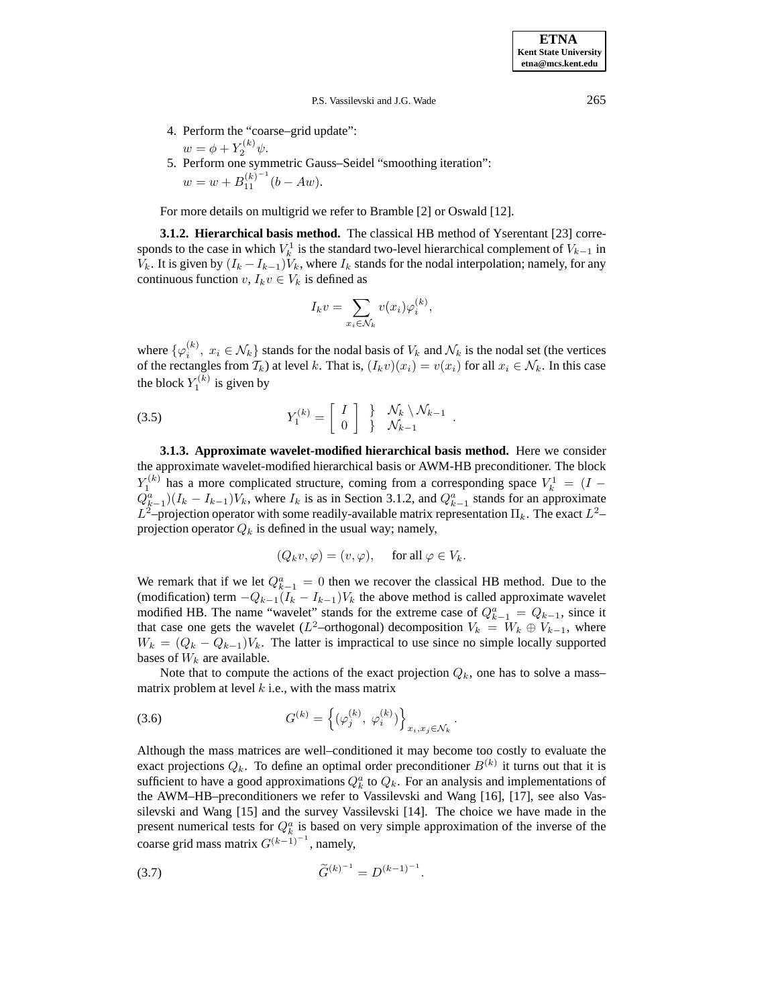4. Perform the "coarse–grid update":

\n- $$
w = \phi + Y_2^{(k)} \psi
$$
.
\n- 5. Perform one symmetric Gauss–Seidel "smoothing iteration":
\n- $w = w + B_{11}^{(k)^{-1}}(b - Aw)$ .
\n

For more details on multigrid we refer to Bramble [2] or Oswald [12].

**3.1.2. Hierarchical basis method.** The classical HB method of Yserentant [23] corresponds to the case in which  $V_k^1$  is the standard two-level hierarchical complement of  $V_{k-1}$  in  $V_k$ . It is given by  $(I_k - I_{k-1})V_k$ , where  $I_k$  stands for the nodal interpolation; namely, for any continuous function  $v, I_k v \in V_k$  is defined as

$$
I_k v = \sum_{x_i \in \mathcal{N}_k} v(x_i) \varphi_i^{(k)},
$$

where  $\{\varphi_i^{(k)}, x_i \in \mathcal{N}_k\}$  stands for the nodal basis of  $V_k$  and  $\mathcal{N}_k$  is the nodal set (the vertices of the rectangles from  $T_k$ ) at level k. That is,  $(I_k v)(x_i) = v(x_i)$  for all  $x_i \in \mathcal{N}_k$ . In this case the block  $Y_1^{(k)}$  is given by

(3.5) 
$$
Y_1^{(k)} = \begin{bmatrix} I \\ 0 \end{bmatrix} \begin{matrix} \frac{1}{2} & \mathcal{N}_k \setminus \mathcal{N}_{k-1} \\ \frac{1}{2} & \mathcal{N}_{k-1} \end{matrix}.
$$

**3.1.3. Approximate wavelet-modified hierarchical basis method.** Here we consider the approximate wavelet-modified hierarchical basis or AWM-HB preconditioner. The block  $Y_1^{(k)}$  has a more complicated structure, coming from a corresponding space  $V_k^1 = (I Q_{k-1}^a$ )( $I_k - I_{k-1}$ ) $V_k$ , where  $I_k$  is as in Section 3.1.2, and  $Q_{k-1}^a$  stands for an approximate  $L^2$ –projection operator with some readily-available matrix representation  $\Pi_k$ . The exact  $L^2$ – projection operator  $Q_k$  is defined in the usual way; namely,

$$
(Q_k v, \varphi) = (v, \varphi)
$$
, for all  $\varphi \in V_k$ .

We remark that if we let  $Q_{k-1}^a = 0$  then we recover the classical HB method. Due to the (modification) term  $-Q_{k-1}(I_k - I_{k-1})V_k$  the above method is called approximate wavelet modified HB. The name "wavelet" stands for the extreme case of  $Q_{k-1}^a = Q_{k-1}$ , since it that case one gets the wavelet (L<sup>2</sup>–orthogonal) decomposition  $V_k = W_k \oplus V_{k-1}$ , where  $W_k = (Q_k - Q_{k-1})V_k$ . The latter is impractical to use since no simple locally supported bases of  $W_k$  are available.

Note that to compute the actions of the exact projection  $Q_k$ , one has to solve a mass– matrix problem at level  $k$  i.e., with the mass matrix

(3.6) 
$$
G^{(k)} = \left\{ (\varphi_j^{(k)}, \varphi_i^{(k)}) \right\}_{x_i, x_j \in \mathcal{N}_k}.
$$

Although the mass matrices are well–conditioned it may become too costly to evaluate the exact projections  $Q_k$ . To define an optimal order preconditioner  $B^{(k)}$  it turns out that it is sufficient to have a good approximations  $Q_k^a$  to  $Q_k$ . For an analysis and implementations of the AWM–HB–preconditioners we refer to Vassilevski and Wang [16], [17], see also Vassilevski and Wang [15] and the survey Vassilevski [14]. The choice we have made in the present numerical tests for  $Q_k^a$  is based on very simple approximation of the inverse of the coarse grid mass matrix  $G^{(k-1)^{-1}}$ , namely,

$$
\widetilde{G}^{(k)^{-1}} = D^{(k-1)^{-1}}.
$$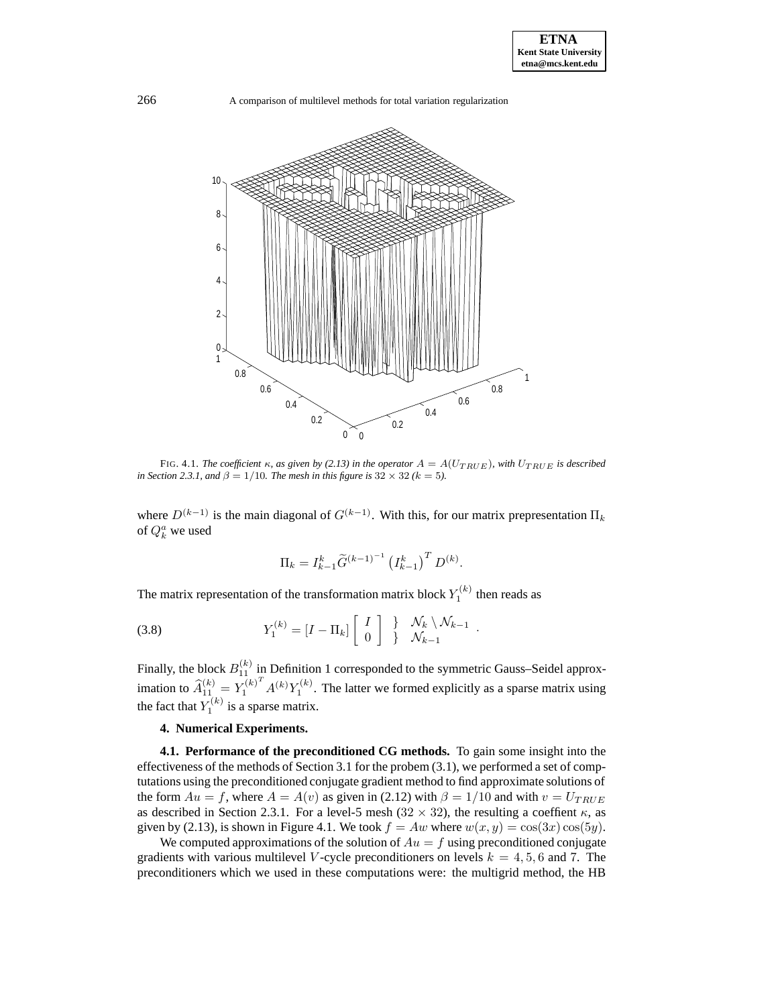

FIG. 4.1. *The coefficient*  $\kappa$ *, as given by (2.13) in the operator*  $A = A(U_{TRUE})$ *, with*  $U_{TRUE}$  *is described in Section 2.3.1, and*  $\beta = 1/10$ *. The mesh in this figure is*  $32 \times 32$  *(k = 5).* 

where  $D^{(k-1)}$  is the main diagonal of  $G^{(k-1)}$ . With this, for our matrix prepresentation  $\Pi_k$ of  $Q_k^a$  we used

$$
\Pi_k = I_{k-1}^k \widetilde{G}^{(k-1)-1} \left( I_{k-1}^k \right)^T D^{(k)}.
$$

The matrix representation of the transformation matrix block  $Y_1^{(k)}$  then reads as

(3.8) 
$$
Y_1^{(k)} = [I - \Pi_k] \begin{bmatrix} I \\ 0 \end{bmatrix} \begin{bmatrix} \lambda & \lambda_k \lambda_k - 1 \\ \lambda_k & \lambda_{k-1} \end{bmatrix}.
$$

Finally, the block  $B_{11}^{(k)}$  in Definition 1 corresponded to the symmetric Gauss–Seidel approximation to  $\widehat{A}_{11}^{(k)} = Y_1^{(k)T} A^{(k)} Y_1^{(k)}$ . The latter we formed explicitly as a sparse matrix using the fact that  $Y_1^{(k)}$  is a sparse matrix.

## **4. Numerical Experiments.**

**4.1. Performance of the preconditioned CG methods.** To gain some insight into the effectiveness of the methods of Section 3.1 for the probem (3.1), we performed a set of comptutations using the preconditioned conjugate gradient method to find approximate solutions of the form  $Au = f$ , where  $A = A(v)$  as given in (2.12) with  $\beta = 1/10$  and with  $v = U_{TRUE}$ as described in Section 2.3.1. For a level-5 mesh (32  $\times$  32), the resulting a coeffient  $\kappa$ , as given by (2.13), is shown in Figure 4.1. We took  $f = Aw$  where  $w(x, y) = cos(3x) cos(5y)$ .

We computed approximations of the solution of  $Au = f$  using preconditioned conjugate gradients with various multilevel *V*-cycle preconditioners on levels  $k = 4, 5, 6$  and 7. The preconditioners which we used in these computations were: the multigrid method, the HB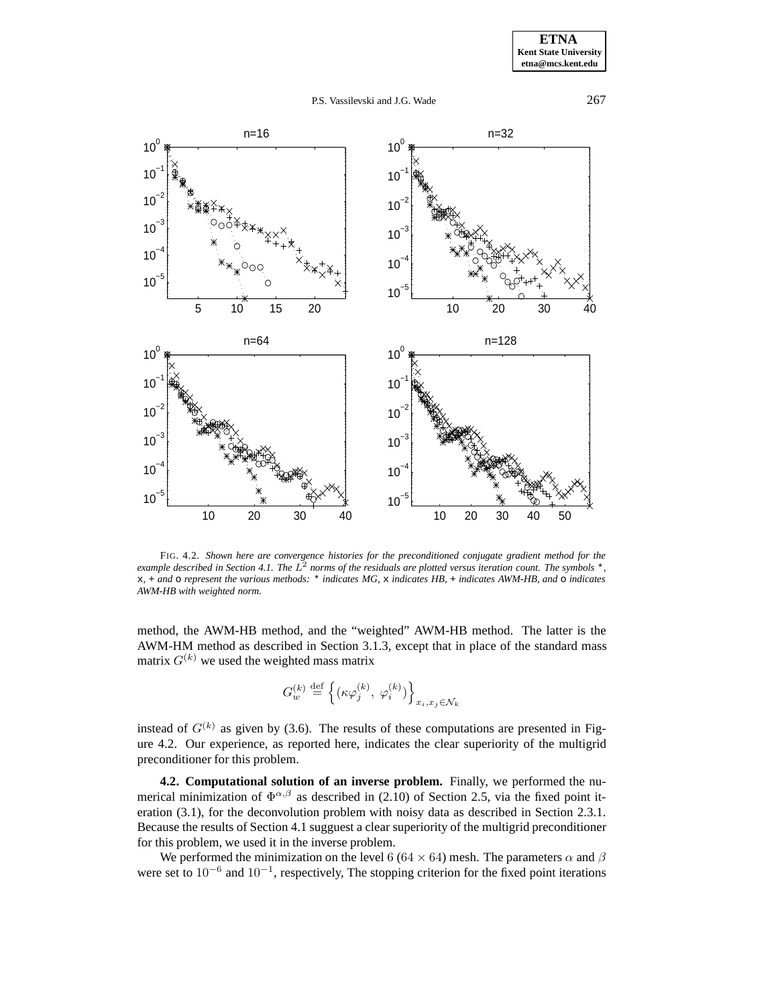



FIG. 4.2. *Shown here are convergence histories for the preconditioned conjugate gradient method for the example described in Section 4.1. The*  $L^2$  *norms of the residuals are plotted versus iteration count. The symbols*  $*$ , x*,* + *and* o *represent the various methods:* \* *indicates MG,* x *indicates HB,* + *indicates AWM-HB, and* o *indicates AWM-HB with weighted norm.*

method, the AWM-HB method, and the "weighted" AWM-HB method. The latter is the AWM-HM method as described in Section 3.1.3, except that in place of the standard mass matrix  $G^{(k)}$  we used the weighted mass matrix

$$
G_w^{(k)} \stackrel{\text{def}}{=} \left\{ (\kappa \varphi_j^{(k)},\; \varphi_i^{(k)}) \right\}_{x_i, x_j \in \mathcal{N}_k}
$$

instead of  $G^{(k)}$  as given by (3.6). The results of these computations are presented in Figure 4.2. Our experience, as reported here, indicates the clear superiority of the multigrid preconditioner for this problem.

**4.2. Computational solution of an inverse problem.** Finally, we performed the numerical minimization of  $\Phi^{\alpha,\beta}$  as described in (2.10) of Section 2.5, via the fixed point iteration (3.1), for the deconvolution problem with noisy data as described in Section 2.3.1. Because the results of Section 4.1 sugguest a clear superiority of the multigrid preconditioner for this problem, we used it in the inverse problem.

We performed the minimization on the level 6 (64  $\times$  64) mesh. The parameters  $\alpha$  and  $\beta$ were set to  $10^{-6}$  and  $10^{-1}$ , respectively, The stopping criterion for the fixed point iterations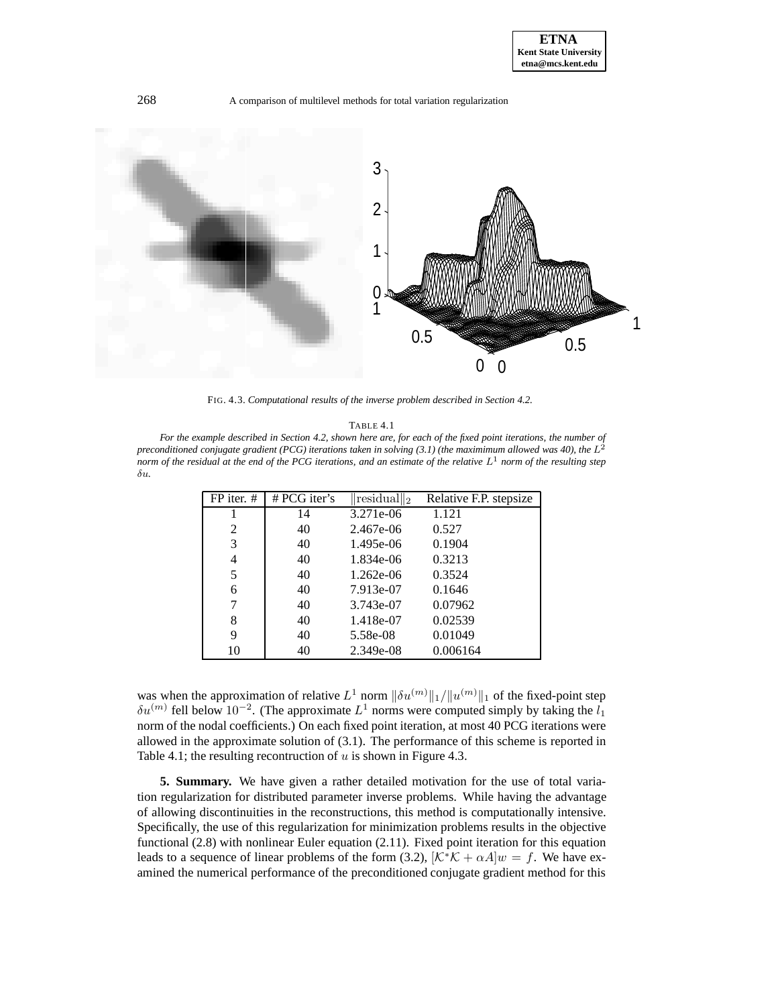

FIG. 4.3. *Computational results of the inverse problem described in Section 4.2.*

TABLE 4.1

*For the example described in Section 4.2, shown here are, for each of the fixed point iterations, the number of preconditioned conjugate gradient (PCG) iterations taken in solving (3.1) (the maximimum allowed was 40), the*  $L^2$ *norm of the residual at the end of the PCG iterations, and an estimate of the relative*  $L<sup>1</sup>$  *norm of the resulting step* δu*.*

| FP iter. # | # PCG iter's | $\lVert \text{residual} \rVert_2$ | Relative F.P. stepsize |
|------------|--------------|-----------------------------------|------------------------|
|            | 14           | 3.271e-06                         | 1.121                  |
| 2          | 40           | 2.467e-06                         | 0.527                  |
| 3          | 40           | 1.495e-06                         | 0.1904                 |
| 4          | 40           | 1.834e-06                         | 0.3213                 |
| 5          | 40           | $1.262e-06$                       | 0.3524                 |
| 6          | 40           | 7.913e-07                         | 0.1646                 |
| 7          | 40           | 3.743e-07                         | 0.07962                |
| 8          | 40           | 1.418e-07                         | 0.02539                |
| 9          | 40           | 5.58e-08                          | 0.01049                |
| 10         | 40           | 2.349e-08                         | 0.006164               |

was when the approximation of relative  $L^1$  norm  $\|\delta u^{(m)}\|_1/\|u^{(m)}\|_1$  of the fixed-point step  $\delta u^{(m)}$  fell below 10<sup>-2</sup>. (The approximate  $L^1$  norms were computed simply by taking the  $l_1$ norm of the nodal coefficients.) On each fixed point iteration, at most 40 PCG iterations were allowed in the approximate solution of (3.1). The performance of this scheme is reported in Table 4.1; the resulting recontruction of  $u$  is shown in Figure 4.3.

**5. Summary.** We have given a rather detailed motivation for the use of total variation regularization for distributed parameter inverse problems. While having the advantage of allowing discontinuities in the reconstructions, this method is computationally intensive. Specifically, the use of this regularization for minimization problems results in the objective functional (2.8) with nonlinear Euler equation (2.11). Fixed point iteration for this equation leads to a sequence of linear problems of the form (3.2),  $[\mathcal{K}^*\mathcal{K} + \alpha A]w = f$ . We have examined the numerical performance of the preconditioned conjugate gradient method for this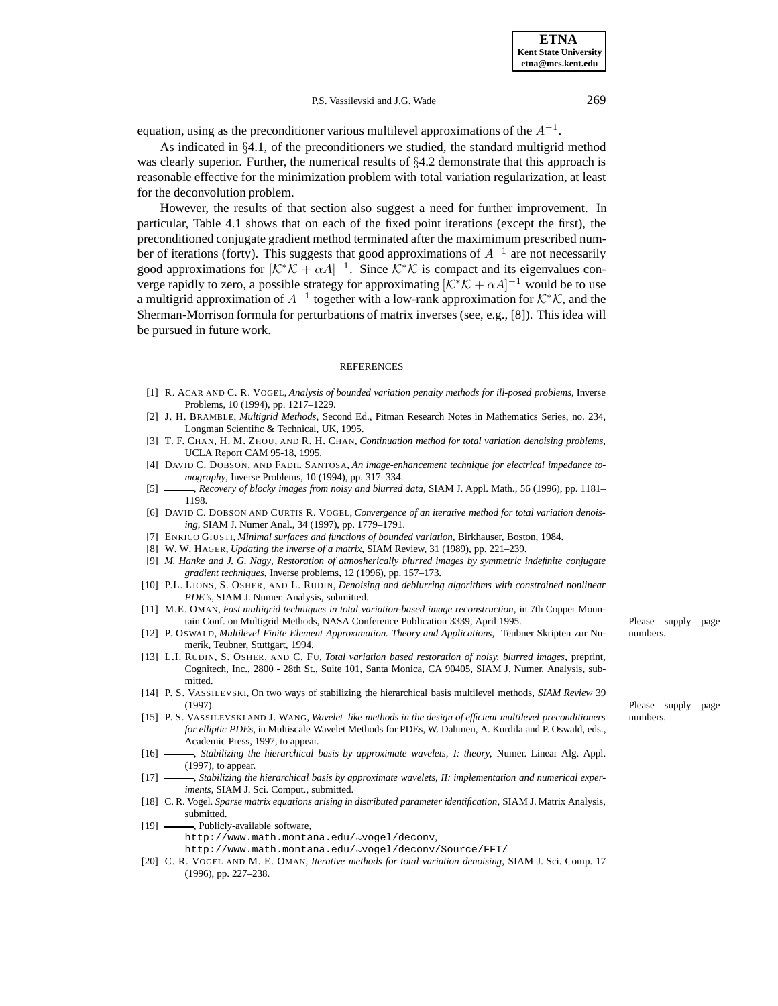equation, using as the preconditioner various multilevel approximations of the  $A^{-1}$ .

As indicated in §4.1, of the preconditioners we studied, the standard multigrid method was clearly superior. Further, the numerical results of  $\S4.2$  demonstrate that this approach is reasonable effective for the minimization problem with total variation regularization, at least for the deconvolution problem.

However, the results of that section also suggest a need for further improvement. In particular, Table 4.1 shows that on each of the fixed point iterations (except the first), the preconditioned conjugate gradient method terminated after the maximimum prescribed number of iterations (forty). This suggests that good approximations of  $A^{-1}$  are not necessarily good approximations for  $[\mathcal{K}^*\mathcal{K} + \alpha A]^{-1}$ . Since  $\mathcal{K}^*\mathcal{K}$  is compact and its eigenvalues converge rapidly to zero, a possible strategy for approximating  $[\mathcal{K}^*\mathcal{K} + \alpha A]^{-1}$  would be to use a multigrid approximation of  $A^{-1}$  together with a low-rank approximation for  $K^*\mathcal{K}$ , and the Sherman-Morrison formula for perturbations of matrix inverses (see, e.g., [8]). This idea will be pursued in future work.

#### **REFERENCES**

- [1] R. ACAR AND C. R. VOGEL, *Analysis of bounded variation penalty methods for ill-posed problems*, Inverse Problems, 10 (1994), pp. 1217–1229.
- [2] J. H. BRAMBLE, *Multigrid Methods*, Second Ed., Pitman Research Notes in Mathematics Series, no. 234, Longman Scientific & Technical, UK, 1995.
- [3] T. F. CHAN, H. M. ZHOU, AND R. H. CHAN, *Continuation method for total variation denoising problems*, UCLA Report CAM 95-18, 1995.
- [4] DAVID C. DOBSON, AND FADIL SANTOSA, *An image-enhancement technique for electrical impedance tomography*, Inverse Problems, 10 (1994), pp. 317–334.
- [5] , *Recovery of blocky images from noisy and blurred data*, SIAM J. Appl. Math., 56 (1996), pp. 1181– 1198.
- [6] DAVID C. DOBSON AND CURTIS R. VOGEL, *Convergence of an iterative method for total variation denoising*, SIAM J. Numer Anal., 34 (1997), pp. 1779–1791.
- [7] ENRICO GIUSTI, *Minimal surfaces and functions of bounded variation*, Birkhauser, Boston, 1984.
- [8] W. W. HAGER, *Updating the inverse of a matrix*, SIAM Review, 31 (1989), pp. 221–239.
- [9] *M. Hanke and J. G. Nagy*, *Restoration of atmosherically blurred images by symmetric indefinite conjugate gradient techniques*, Inverse problems, 12 (1996), pp. 157–173.
- [10] P.L. LIONS, S. OSHER, AND L. RUDIN, *Denoising and deblurring algorithms with constrained nonlinear PDE's*, SIAM J. Numer. Analysis, submitted.
- [11] M.E. OMAN, *Fast multigrid techniques in total variation-based image reconstruction*, in 7th Copper Mountain Conf. on Multigrid Methods, NASA Conference Publication 3339, April 1995. Please supply page
- [12] P. OSWALD, *Multilevel Finite Element Approximation. Theory and Applications*, Teubner Skripten zur Nu- numbers. merik, Teubner, Stuttgart, 1994.
- [13] L.I. RUDIN, S. OSHER, AND C. FU, *Total variation based restoration of noisy, blurred images*, preprint, Cognitech, Inc., 2800 - 28th St., Suite 101, Santa Monica, CA 90405, SIAM J. Numer. Analysis, submitted.
- [14] P. S. VASSILEVSKI, On two ways of stabilizing the hierarchical basis multilevel methods, *SIAM Review* 39 (1997). Please supply page
- [15] P. S. VASSILEVSKI AND J. WANG, *Wavelet–like methods in the design of efficient multilevel preconditioners* numbers. *for elliptic PDEs*, in Multiscale Wavelet Methods for PDEs, W. Dahmen, A. Kurdila and P. Oswald, eds., Academic Press, 1997, to appear.
- [16] , *Stabilizing the hierarchical basis by approximate wavelets, I: theory*, Numer. Linear Alg. Appl. (1997), to appear.
- [17] , *Stabilizing the hierarchical basis by approximate wavelets, II: implementation and numerical experiments*, SIAM J. Sci. Comput., submitted.
- [18] C. R. Vogel. *Sparse matrix equations arising in distributed parameter identification*, SIAM J. Matrix Analysis, submitted.
- [19] -- , Publicly-available software, http://www.math.montana.edu/∼vogel/deconv,
	- http://www.math.montana.edu/∼vogel/deconv/Source/FFT/
- [20] C. R. VOGEL AND M. E. OMAN, *Iterative methods for total variation denoising*, SIAM J. Sci. Comp. 17 (1996), pp. 227–238.